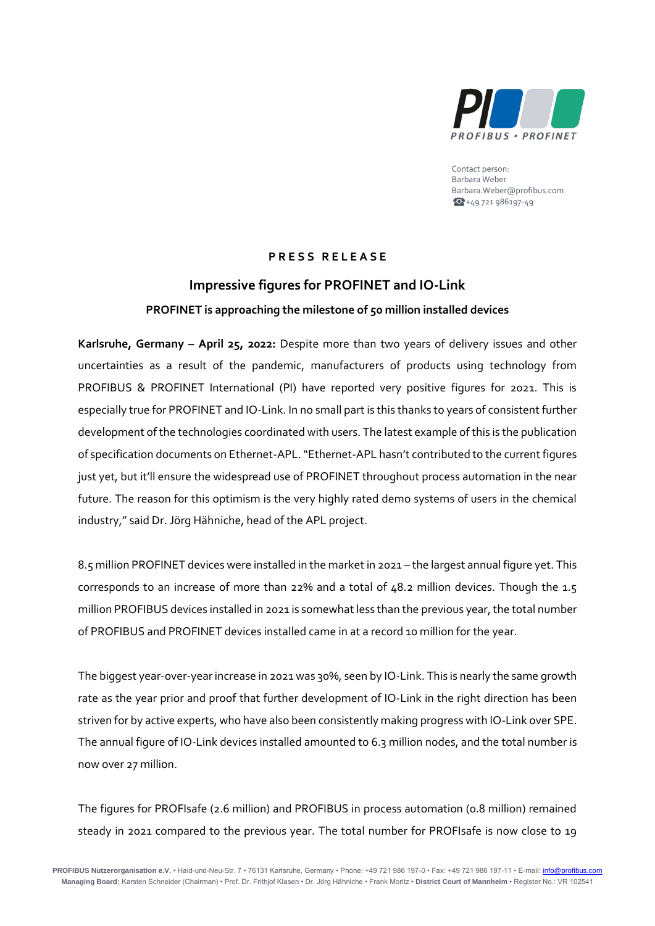

Contact person: Barbara Weber Barbara.Weber@profibus.com  $+49721986197-49$ 

## **P R E S S R E L E A S E**

## **Impressive figures for PROFINET and IO-Link PROFINET is approaching the milestone of 50 million installed devices**

**Karlsruhe, Germany – April 25, 2022:** Despite more than two years of delivery issues and other uncertainties as a result of the pandemic, manufacturers of products using technology from PROFIBUS & PROFINET International (PI) have reported very positive figures for 2021. This is especially true for PROFINET and IO-Link. In no small part is this thanks to years of consistent further development of the technologies coordinated with users. The latest example of this is the publication of specification documents on Ethernet-APL. "Ethernet-APL hasn't contributed to the current figures just yet, but it'll ensure the widespread use of PROFINET throughout process automation in the near future. The reason for this optimism is the very highly rated demo systems of users in the chemical industry," said Dr. Jörg Hähniche, head of the APL project.

8.5 million PROFINET devices were installed in the market in 2021 – the largest annual figure yet. This corresponds to an increase of more than 22% and a total of 48.2 million devices. Though the 1.5 million PROFIBUS devices installed in 2021 is somewhat less than the previous year, the total number of PROFIBUS and PROFINET devices installed came in at a record 10 million for the year.

The biggest year-over-year increase in 2021 was 30%, seen by IO-Link. This is nearly the same growth rate as the year prior and proof that further development of IO-Link in the right direction has been striven for by active experts, who have also been consistently making progress with IO-Link over SPE. The annual figure of IO-Link devices installed amounted to 6.3 million nodes, and the total number is now over 27 million.

The figures for PROFIsafe (2.6 million) and PROFIBUS in process automation (0.8 million) remained steady in 2021 compared to the previous year. The total number for PROFIsafe is now close to 19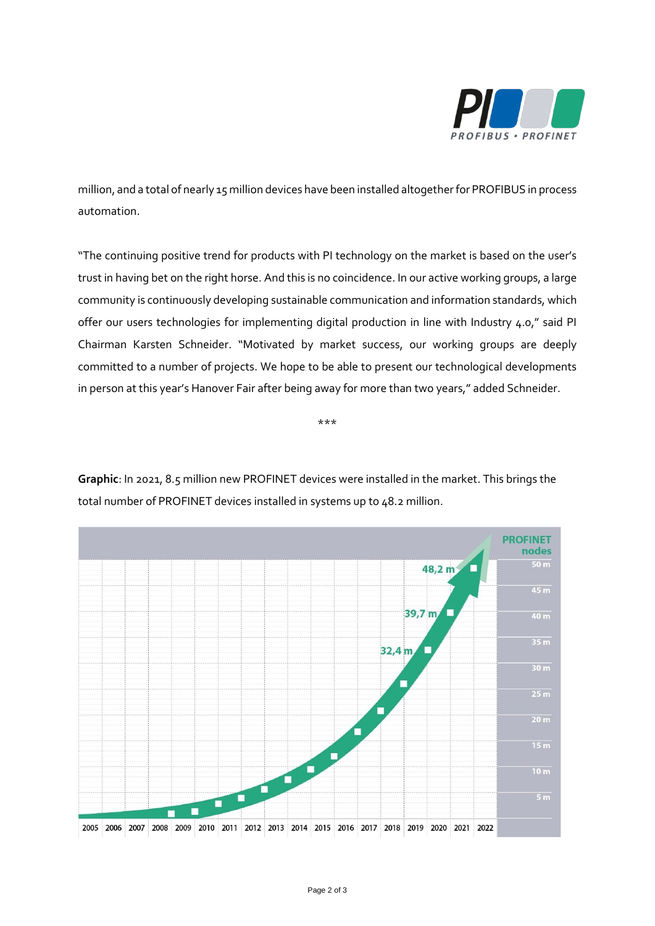

million, and a total of nearly 15 million devices have been installed altogether for PROFIBUS in process automation.

"The continuing positive trend for products with PI technology on the market is based on the user's trust in having bet on the right horse. And this is no coincidence. In our active working groups, a large community is continuously developing sustainable communication and information standards, which offer our users technologies for implementing digital production in line with Industry 4.0," said PI Chairman Karsten Schneider. "Motivated by market success, our working groups are deeply committed to a number of projects. We hope to be able to present our technological developments in person at this year's Hanover Fair after being away for more than two years," added Schneider.

\*\*\*

**Graphic**: In 2021, 8.5 million new PROFINET devices were installed in the market. This brings the total number of PROFINET devices installed in systems up to 48.2 million.